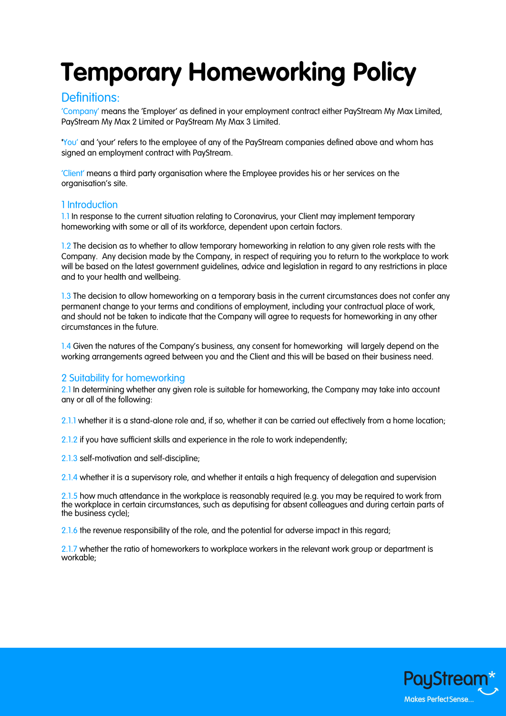# **Temporary Homeworking Policy**

## Definitions:

'Company' means the 'Employer' as defined in your employment contract either PayStream My Max Limited, PayStream My Max 2 Limited or PayStream My Max 3 Limited.

'You' and 'your' refers to the employee of any of the PayStream companies defined above and whom has signed an employment contract with PayStream.

'Client' means a third party organisation where the Employee provides his or her services on the organisation's site.

## 1 Introduction

1.1 In response to the current situation relating to Coronavirus, your Client may implement temporary homeworking with some or all of its workforce, dependent upon certain factors.

1.2 The decision as to whether to allow temporary homeworking in relation to any given role rests with the Company. Any decision made by the Company, in respect of requiring you to return to the workplace to work will be based on the latest government guidelines, advice and legislation in regard to any restrictions in place and to your health and wellbeing.

1.3 The decision to allow homeworking on a temporary basis in the current circumstances does not confer any permanent change to your terms and conditions of employment, including your contractual place of work, and should not be taken to indicate that the Company will agree to requests for homeworking in any other circumstances in the future.

1.4 Given the natures of the Company's business, any consent for homeworking will largely depend on the working arrangements agreed between you and the Client and this will be based on their business need.

## 2 Suitability for homeworking

2.1 In determining whether any given role is suitable for homeworking, the Company may take into account any or all of the following:

2.1.1 whether it is a stand-alone role and, if so, whether it can be carried out effectively from a home location;

2.1.2 if you have sufficient skills and experience in the role to work independently;

2.1.3 self-motivation and self-discipline;

2.1.4 whether it is a supervisory role, and whether it entails a high frequency of delegation and supervision

2.1.5 how much attendance in the workplace is reasonably required (e.g. you may be required to work from the workplace in certain circumstances, such as deputising for absent colleagues and during certain parts of the business cycle);

2.1.6 the revenue responsibility of the role, and the potential for adverse impact in this regard;

2.1.7 whether the ratio of homeworkers to workplace workers in the relevant work group or department is workable;

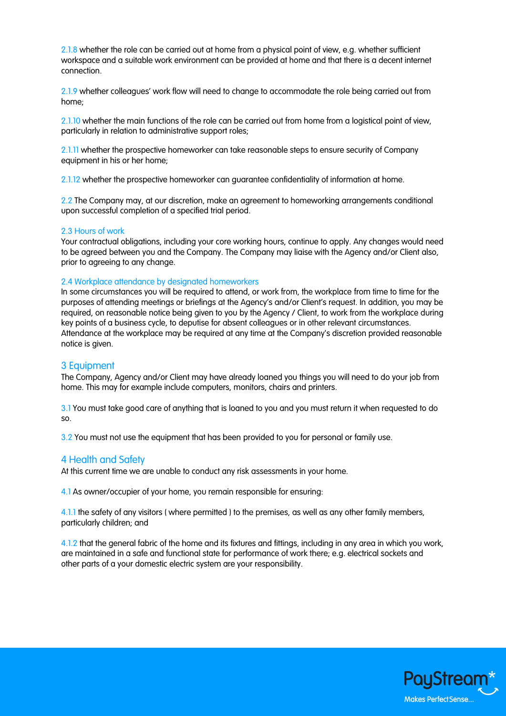2.1.8 whether the role can be carried out at home from a physical point of view, e.g. whether sufficient workspace and a suitable work environment can be provided at home and that there is a decent internet connection.

2.1.9 whether colleagues' work flow will need to change to accommodate the role being carried out from home;

2.1.10 whether the main functions of the role can be carried out from home from a logistical point of view, particularly in relation to administrative support roles;

2.1.11 whether the prospective homeworker can take reasonable steps to ensure security of Company equipment in his or her home;

2.1.12 whether the prospective homeworker can guarantee confidentiality of information at home.

2.2 The Company may, at our discretion, make an agreement to homeworking arrangements conditional upon successful completion of a specified trial period.

#### 2.3 Hours of work

Your contractual obligations, including your core working hours, continue to apply. Any changes would need to be agreed between you and the Company. The Company may liaise with the Agency and/or Client also, prior to agreeing to any change.

#### 2.4 Workplace attendance by designated homeworkers

In some circumstances you will be required to attend, or work from, the workplace from time to time for the purposes of attending meetings or briefings at the Agency's and/or Client's request. In addition, you may be required, on reasonable notice being given to you by the Agency / Client, to work from the workplace during key points of a business cycle, to deputise for absent colleagues or in other relevant circumstances. Attendance at the workplace may be required at any time at the Company's discretion provided reasonable notice is given.

#### 3 Equipment

The Company, Agency and/or Client may have already loaned you things you will need to do your job from home. This may for example include computers, monitors, chairs and printers.

3.1 You must take good care of anything that is loaned to you and you must return it when requested to do so.

3.2 You must not use the equipment that has been provided to you for personal or family use.

#### 4 Health and Safety

At this current time we are unable to conduct any risk assessments in your home.

4.1 As owner/occupier of your home, you remain responsible for ensuring:

4.1.1 the safety of any visitors (where permitted) to the premises, as well as any other family members, particularly children; and

4.1.2 that the general fabric of the home and its fixtures and fittings, including in any area in which you work, are maintained in a safe and functional state for performance of work there; e.g. electrical sockets and other parts of a your domestic electric system are your responsibility.